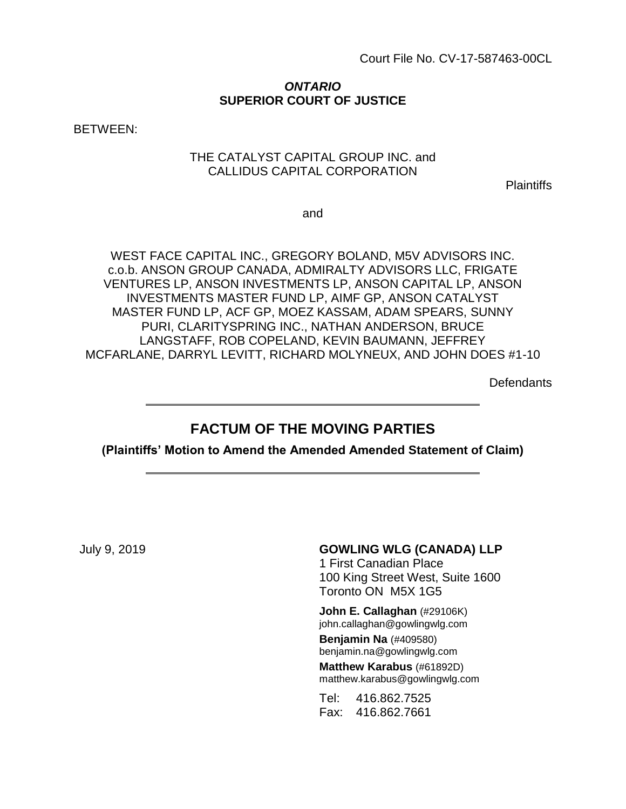#### *ONTARIO* **SUPERIOR COURT OF JUSTICE**

BETWEEN:

#### THE CATALYST CAPITAL GROUP INC. and CALLIDUS CAPITAL CORPORATION

**Plaintiffs** 

and

WEST FACE CAPITAL INC., GREGORY BOLAND, M5V ADVISORS INC. c.o.b. ANSON GROUP CANADA, ADMIRALTY ADVISORS LLC, FRIGATE VENTURES LP, ANSON INVESTMENTS LP, ANSON CAPITAL LP, ANSON INVESTMENTS MASTER FUND LP, AIMF GP, ANSON CATALYST MASTER FUND LP, ACF GP, MOEZ KASSAM, ADAM SPEARS, SUNNY PURI, CLARITYSPRING INC., NATHAN ANDERSON, BRUCE LANGSTAFF, ROB COPELAND, KEVIN BAUMANN, JEFFREY MCFARLANE, DARRYL LEVITT, RICHARD MOLYNEUX, AND JOHN DOES #1-10

**Defendants** 

# **FACTUM OF THE MOVING PARTIES**

**(Plaintiffs' Motion to Amend the Amended Amended Statement of Claim)**

#### July 9, 2019 **GOWLING WLG (CANADA) LLP**

1 First Canadian Place 100 King Street West, Suite 1600 Toronto ON M5X 1G5

**John E. Callaghan** (#29106K) john.callaghan@gowlingwlg.com **Benjamin Na** (#409580) benjamin.na@gowlingwlg.com **Matthew Karabus** (#61892D) matthew.karabus@gowlingwlg.com

Tel: 416.862.7525 Fax: 416.862.7661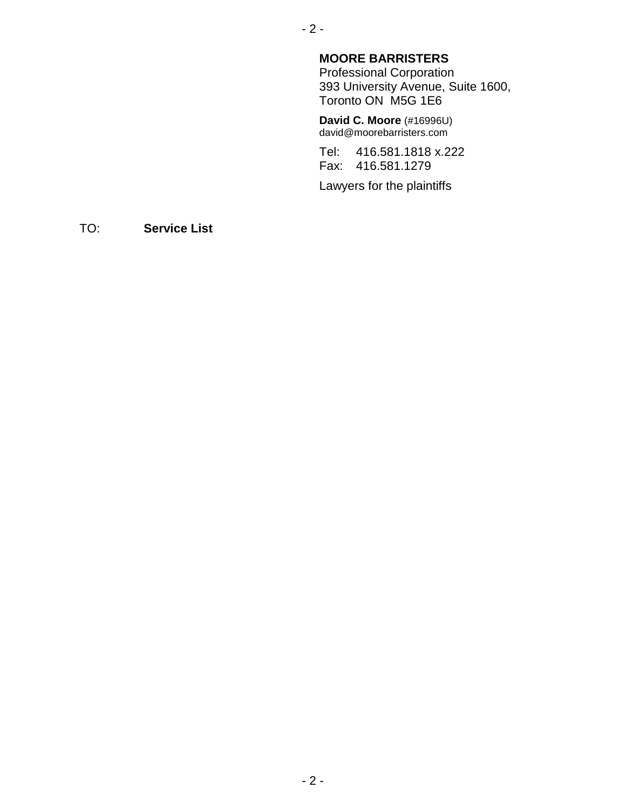#### - 2 -

### **MOORE BARRISTERS**

Professional Corporation 393 University Avenue, Suite 1600, Toronto ON M5G 1E6

**David C. Moore** (#16996U) david@moorebarristers.com

Tel: 416.581.1818 x.222 Fax: 416.581.1279

Lawyers for the plaintiffs

TO: **Service List**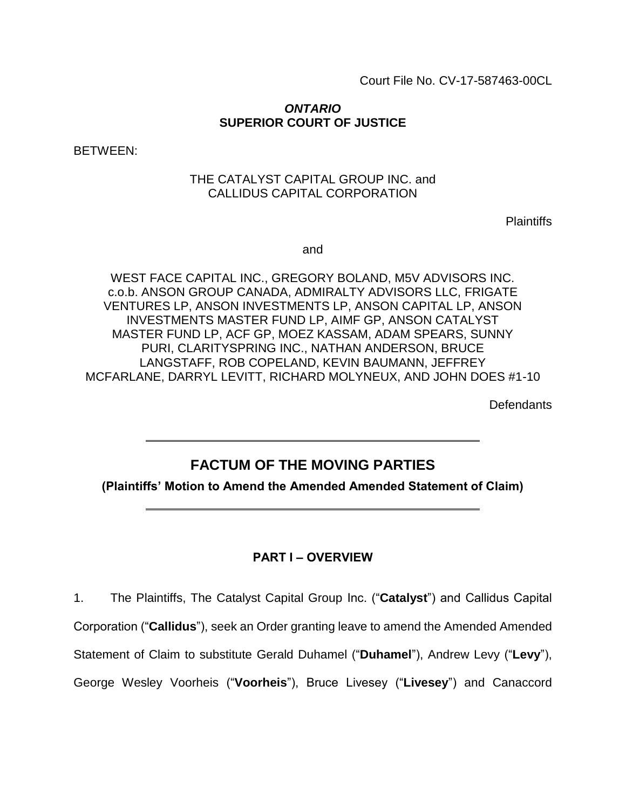Court File No. CV-17-587463-00CL

#### *ONTARIO* **SUPERIOR COURT OF JUSTICE**

BETWEEN:

### THE CATALYST CAPITAL GROUP INC. and CALLIDUS CAPITAL CORPORATION

**Plaintiffs** 

and

WEST FACE CAPITAL INC., GREGORY BOLAND, M5V ADVISORS INC. c.o.b. ANSON GROUP CANADA, ADMIRALTY ADVISORS LLC, FRIGATE VENTURES LP, ANSON INVESTMENTS LP, ANSON CAPITAL LP, ANSON INVESTMENTS MASTER FUND LP, AIMF GP, ANSON CATALYST MASTER FUND LP, ACF GP, MOEZ KASSAM, ADAM SPEARS, SUNNY PURI, CLARITYSPRING INC., NATHAN ANDERSON, BRUCE LANGSTAFF, ROB COPELAND, KEVIN BAUMANN, JEFFREY MCFARLANE, DARRYL LEVITT, RICHARD MOLYNEUX, AND JOHN DOES #1-10

**Defendants** 

# **FACTUM OF THE MOVING PARTIES**

**(Plaintiffs' Motion to Amend the Amended Amended Statement of Claim)**

# **PART I – OVERVIEW**

1. The Plaintiffs, The Catalyst Capital Group Inc. ("**Catalyst**") and Callidus Capital Corporation ("**Callidus**"), seek an Order granting leave to amend the Amended Amended Statement of Claim to substitute Gerald Duhamel ("**Duhamel**"), Andrew Levy ("**Levy**"),

George Wesley Voorheis ("**Voorheis**"), Bruce Livesey ("**Livesey**") and Canaccord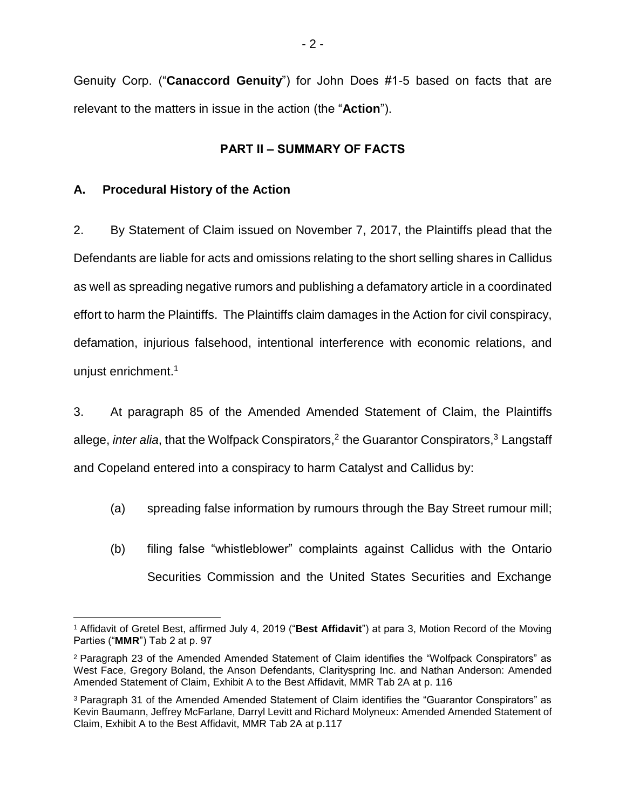Genuity Corp. ("**Canaccord Genuity**") for John Does #1-5 based on facts that are relevant to the matters in issue in the action (the "**Action**").

#### **PART II – SUMMARY OF FACTS**

### **A. Procedural History of the Action**

2. By Statement of Claim issued on November 7, 2017, the Plaintiffs plead that the Defendants are liable for acts and omissions relating to the short selling shares in Callidus as well as spreading negative rumors and publishing a defamatory article in a coordinated effort to harm the Plaintiffs. The Plaintiffs claim damages in the Action for civil conspiracy, defamation, injurious falsehood, intentional interference with economic relations, and unjust enrichment.<sup>1</sup>

3. At paragraph 85 of the Amended Amended Statement of Claim, the Plaintiffs allege, *inter alia*, that the Wolfpack Conspirators,<sup>2</sup> the Guarantor Conspirators,<sup>3</sup> Langstaff and Copeland entered into a conspiracy to harm Catalyst and Callidus by:

- (a) spreading false information by rumours through the Bay Street rumour mill;
- (b) filing false "whistleblower" complaints against Callidus with the Ontario Securities Commission and the United States Securities and Exchange

 $\overline{a}$ <sup>1</sup> Affidavit of Gretel Best, affirmed July 4, 2019 ("**Best Affidavit**") at para 3, Motion Record of the Moving Parties ("**MMR**") Tab 2 at p. 97

<sup>2</sup> Paragraph 23 of the Amended Amended Statement of Claim identifies the "Wolfpack Conspirators" as West Face, Gregory Boland, the Anson Defendants, Clarityspring Inc. and Nathan Anderson: Amended Amended Statement of Claim, Exhibit A to the Best Affidavit, MMR Tab 2A at p. 116

<sup>3</sup> Paragraph 31 of the Amended Amended Statement of Claim identifies the "Guarantor Conspirators" as Kevin Baumann, Jeffrey McFarlane, Darryl Levitt and Richard Molyneux: Amended Amended Statement of Claim, Exhibit A to the Best Affidavit, MMR Tab 2A at p.117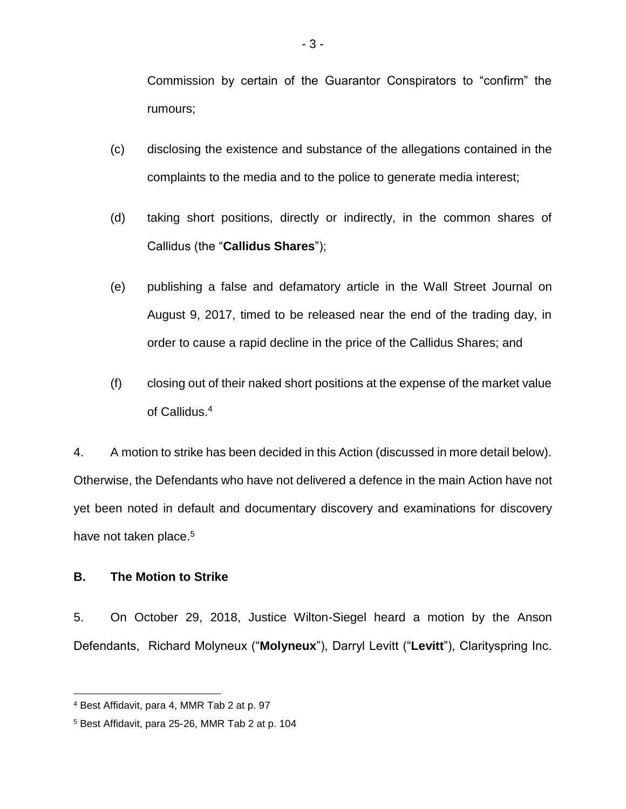Commission by certain of the Guarantor Conspirators to "confirm" the rumours;

- (c) disclosing the existence and substance of the allegations contained in the complaints to the media and to the police to generate media interest;
- (d) taking short positions, directly or indirectly, in the common shares of Callidus (the "**Callidus Shares**");
- (e) publishing a false and defamatory article in the Wall Street Journal on August 9, 2017, timed to be released near the end of the trading day, in order to cause a rapid decline in the price of the Callidus Shares; and
- (f) closing out of their naked short positions at the expense of the market value of Callidus.<sup>4</sup>

4. A motion to strike has been decided in this Action (discussed in more detail below). Otherwise, the Defendants who have not delivered a defence in the main Action have not yet been noted in default and documentary discovery and examinations for discovery have not taken place.<sup>5</sup>

#### **B. The Motion to Strike**

 $\overline{a}$ 

5. On October 29, 2018, Justice Wilton-Siegel heard a motion by the Anson Defendants, Richard Molyneux ("**Molyneux**"), Darryl Levitt ("**Levitt**"), Clarityspring Inc.

<sup>4</sup> Best Affidavit, para 4, MMR Tab 2 at p. 97

<sup>5</sup> Best Affidavit, para 25-26, MMR Tab 2 at p. 104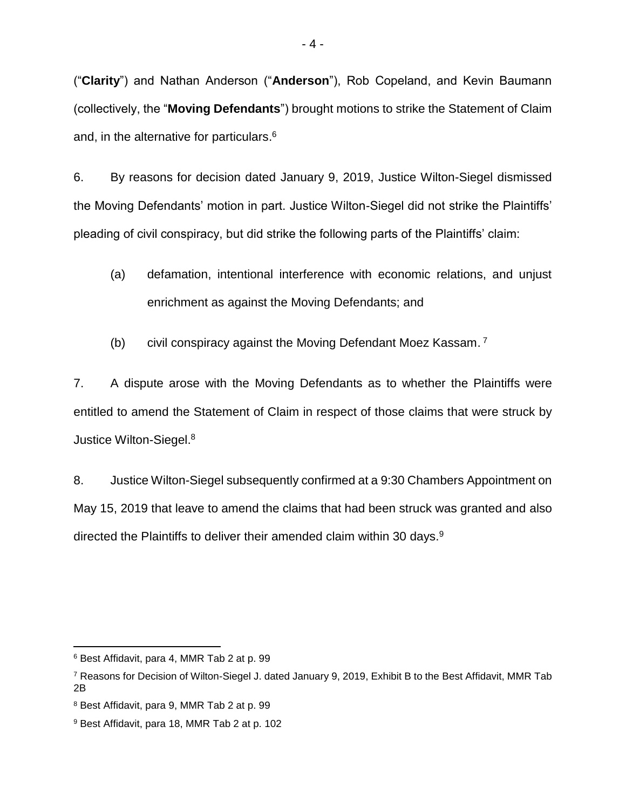("**Clarity**") and Nathan Anderson ("**Anderson**"), Rob Copeland, and Kevin Baumann (collectively, the "**Moving Defendants**") brought motions to strike the Statement of Claim and, in the alternative for particulars.<sup>6</sup>

6. By reasons for decision dated January 9, 2019, Justice Wilton-Siegel dismissed the Moving Defendants' motion in part. Justice Wilton-Siegel did not strike the Plaintiffs' pleading of civil conspiracy, but did strike the following parts of the Plaintiffs' claim:

- (a) defamation, intentional interference with economic relations, and unjust enrichment as against the Moving Defendants; and
- (b) civil conspiracy against the Moving Defendant Moez Kassam. 7

7. A dispute arose with the Moving Defendants as to whether the Plaintiffs were entitled to amend the Statement of Claim in respect of those claims that were struck by Justice Wilton-Siegel.<sup>8</sup>

8. Justice Wilton-Siegel subsequently confirmed at a 9:30 Chambers Appointment on May 15, 2019 that leave to amend the claims that had been struck was granted and also directed the Plaintiffs to deliver their amended claim within 30 days.<sup>9</sup>

 $\overline{a}$ <sup>6</sup> Best Affidavit, para 4, MMR Tab 2 at p. 99

<sup>7</sup> Reasons for Decision of Wilton-Siegel J. dated January 9, 2019, Exhibit B to the Best Affidavit, MMR Tab 2B

<sup>8</sup> Best Affidavit, para 9, MMR Tab 2 at p. 99

<sup>9</sup> Best Affidavit, para 18, MMR Tab 2 at p. 102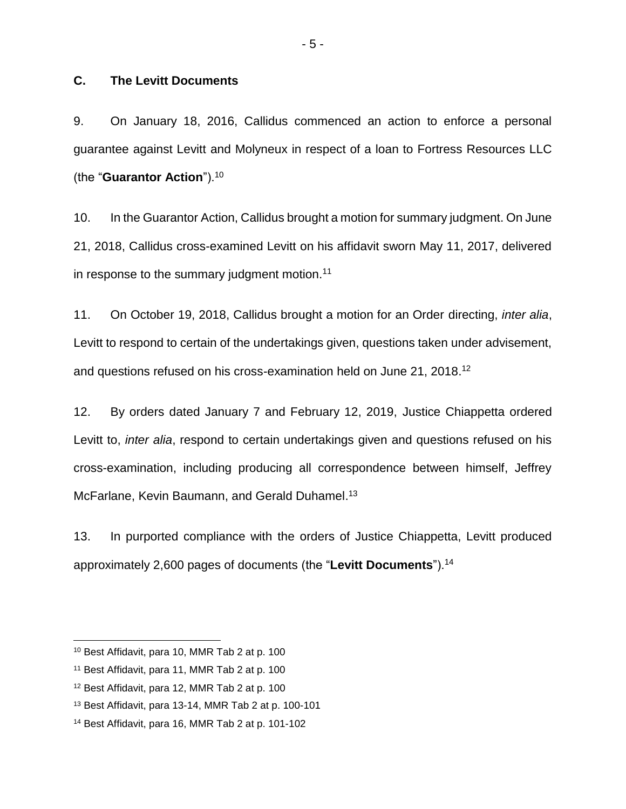#### **C. The Levitt Documents**

9. On January 18, 2016, Callidus commenced an action to enforce a personal guarantee against Levitt and Molyneux in respect of a loan to Fortress Resources LLC (the "**Guarantor Action**").<sup>10</sup>

10. In the Guarantor Action, Callidus brought a motion for summary judgment. On June 21, 2018, Callidus cross-examined Levitt on his affidavit sworn May 11, 2017, delivered in response to the summary judgment motion.<sup>11</sup>

11. On October 19, 2018, Callidus brought a motion for an Order directing, *inter alia*, Levitt to respond to certain of the undertakings given, questions taken under advisement, and questions refused on his cross-examination held on June 21, 2018.<sup>12</sup>

12. By orders dated January 7 and February 12, 2019, Justice Chiappetta ordered Levitt to, *inter alia*, respond to certain undertakings given and questions refused on his cross-examination, including producing all correspondence between himself, Jeffrey McFarlane, Kevin Baumann, and Gerald Duhamel.<sup>13</sup>

13. In purported compliance with the orders of Justice Chiappetta, Levitt produced approximately 2,600 pages of documents (the "**Levitt Documents**").<sup>14</sup>

<sup>10</sup> Best Affidavit, para 10, MMR Tab 2 at p. 100

<sup>11</sup> Best Affidavit, para 11, MMR Tab 2 at p. 100

<sup>12</sup> Best Affidavit, para 12, MMR Tab 2 at p. 100

<sup>13</sup> Best Affidavit, para 13-14, MMR Tab 2 at p. 100-101

<sup>14</sup> Best Affidavit, para 16, MMR Tab 2 at p. 101-102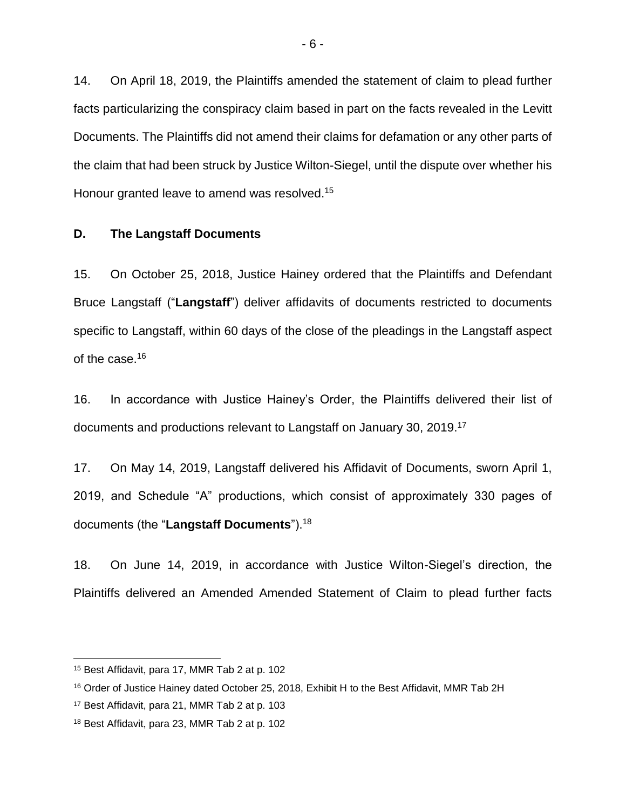14. On April 18, 2019, the Plaintiffs amended the statement of claim to plead further facts particularizing the conspiracy claim based in part on the facts revealed in the Levitt Documents. The Plaintiffs did not amend their claims for defamation or any other parts of the claim that had been struck by Justice Wilton-Siegel, until the dispute over whether his Honour granted leave to amend was resolved.<sup>15</sup>

#### **D. The Langstaff Documents**

15. On October 25, 2018, Justice Hainey ordered that the Plaintiffs and Defendant Bruce Langstaff ("**Langstaff**") deliver affidavits of documents restricted to documents specific to Langstaff, within 60 days of the close of the pleadings in the Langstaff aspect of the case.<sup>16</sup>

16. In accordance with Justice Hainey's Order, the Plaintiffs delivered their list of documents and productions relevant to Langstaff on January 30, 2019.<sup>17</sup>

17. On May 14, 2019, Langstaff delivered his Affidavit of Documents, sworn April 1, 2019, and Schedule "A" productions, which consist of approximately 330 pages of documents (the "**Langstaff Documents**").<sup>18</sup>

18. On June 14, 2019, in accordance with Justice Wilton-Siegel's direction, the Plaintiffs delivered an Amended Amended Statement of Claim to plead further facts

<sup>15</sup> Best Affidavit, para 17, MMR Tab 2 at p. 102

<sup>&</sup>lt;sup>16</sup> Order of Justice Hainey dated October 25, 2018, Exhibit H to the Best Affidavit, MMR Tab 2H

<sup>17</sup> Best Affidavit, para 21, MMR Tab 2 at p. 103

<sup>18</sup> Best Affidavit, para 23, MMR Tab 2 at p. 102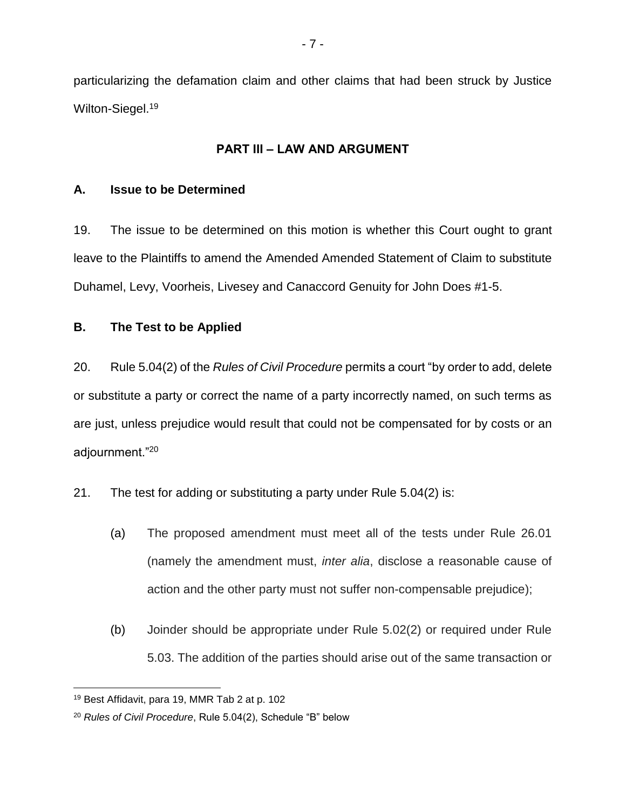particularizing the defamation claim and other claims that had been struck by Justice Wilton-Siegel.<sup>19</sup>

### **PART III – LAW AND ARGUMENT**

### **A. Issue to be Determined**

19. The issue to be determined on this motion is whether this Court ought to grant leave to the Plaintiffs to amend the Amended Amended Statement of Claim to substitute Duhamel, Levy, Voorheis, Livesey and Canaccord Genuity for John Does #1-5.

### **B. The Test to be Applied**

20. Rule 5.04(2) of the *Rules of Civil Procedure* permits a court "by order to add, delete or substitute a party or correct the name of a party incorrectly named, on such terms as are just, unless prejudice would result that could not be compensated for by costs or an adjournment."<sup>20</sup>

21. The test for adding or substituting a party under Rule 5.04(2) is:

- (a) The proposed amendment must meet all of the tests under Rule 26.01 (namely the amendment must, *inter alia*, disclose a reasonable cause of action and the other party must not suffer non-compensable prejudice);
- (b) Joinder should be appropriate under Rule 5.02(2) or required under Rule 5.03. The addition of the parties should arise out of the same transaction or

<sup>19</sup> Best Affidavit, para 19, MMR Tab 2 at p. 102

<sup>20</sup> *Rules of Civil Procedure*, Rule 5.04(2), Schedule "B" below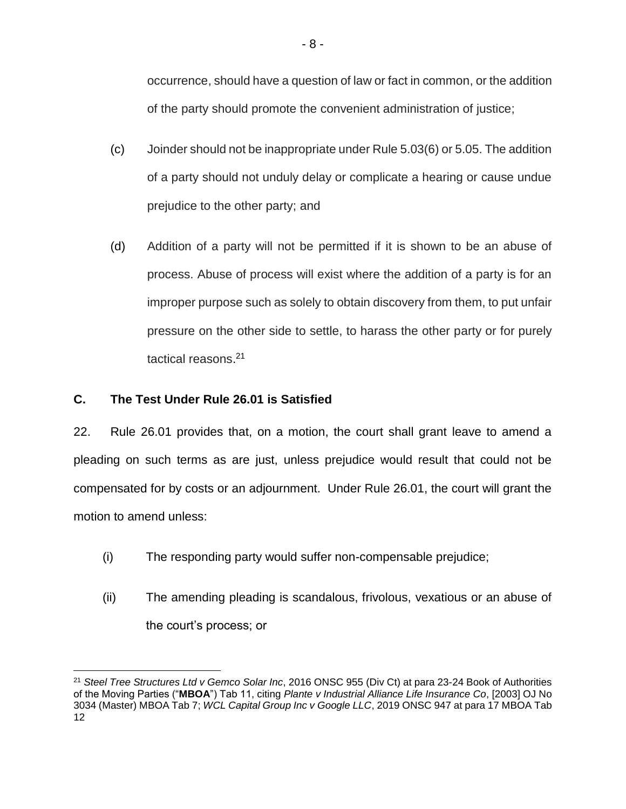occurrence, should have a question of law or fact in common, or the addition of the party should promote the convenient administration of justice;

- (c) Joinder should not be inappropriate under Rule 5.03(6) or 5.05. The addition of a party should not unduly delay or complicate a hearing or cause undue prejudice to the other party; and
- (d) Addition of a party will not be permitted if it is shown to be an abuse of process. Abuse of process will exist where the addition of a party is for an improper purpose such as solely to obtain discovery from them, to put unfair pressure on the other side to settle, to harass the other party or for purely tactical reasons. 21

# **C. The Test Under Rule 26.01 is Satisfied**

 $\overline{a}$ 

22. Rule 26.01 provides that, on a motion, the court shall grant leave to amend a pleading on such terms as are just, unless prejudice would result that could not be compensated for by costs or an adjournment. Under Rule 26.01, the court will grant the motion to amend unless:

- (i) The responding party would suffer non-compensable prejudice;
- (ii) The amending pleading is scandalous, frivolous, vexatious or an abuse of the court's process; or

<sup>21</sup> *Steel Tree Structures Ltd v Gemco Solar Inc*, 2016 ONSC 955 (Div Ct) at para 23-24 Book of Authorities of the Moving Parties ("**MBOA**") Tab 11, citing *Plante v Industrial Alliance Life Insurance Co*, [2003] OJ No 3034 (Master) MBOA Tab 7; *WCL Capital Group Inc v Google LLC*, 2019 ONSC 947 at para 17 MBOA Tab 12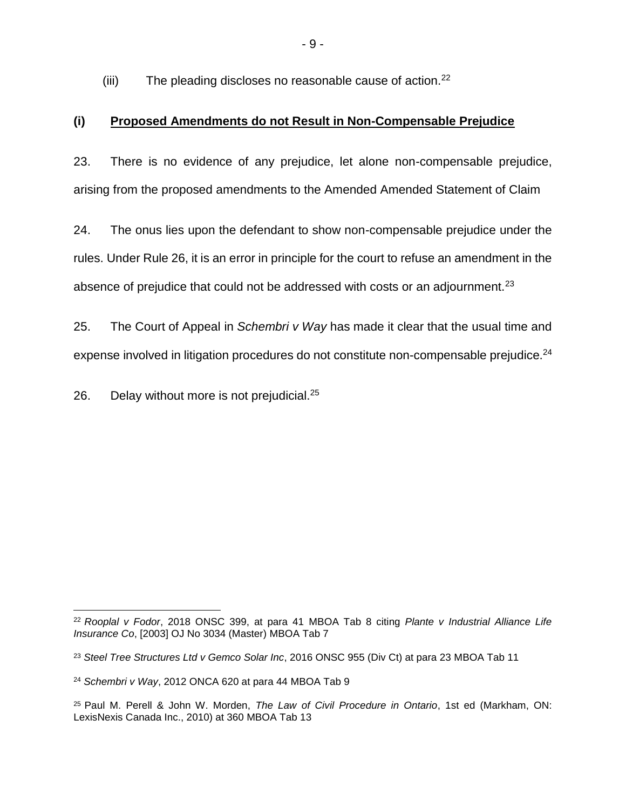(iii) The pleading discloses no reasonable cause of action.<sup>22</sup>

# **(i) Proposed Amendments do not Result in Non-Compensable Prejudice**

23. There is no evidence of any prejudice, let alone non-compensable prejudice, arising from the proposed amendments to the Amended Amended Statement of Claim

24. The onus lies upon the defendant to show non-compensable prejudice under the rules. Under Rule 26, it is an error in principle for the court to refuse an amendment in the absence of prejudice that could not be addressed with costs or an adjournment.<sup>23</sup>

25. The Court of Appeal in *Schembri v Way* has made it clear that the usual time and expense involved in litigation procedures do not constitute non-compensable prejudice.<sup>24</sup>

26. Delay without more is not prejudicial. $25$ 

 $\overline{a}$ <sup>22</sup> *Rooplal v Fodor*, 2018 ONSC 399, at para 41 MBOA Tab 8 citing *Plante v Industrial Alliance Life Insurance Co*, [2003] OJ No 3034 (Master) MBOA Tab 7

<sup>23</sup> *Steel Tree Structures Ltd v Gemco Solar Inc*, 2016 ONSC 955 (Div Ct) at para 23 MBOA Tab 11

<sup>24</sup> *Schembri v Way*, 2012 ONCA 620 at para 44 MBOA Tab 9

<sup>25</sup> Paul M. Perell & John W. Morden, *The Law of Civil Procedure in Ontario*, 1st ed (Markham, ON: LexisNexis Canada Inc., 2010) at 360 MBOA Tab 13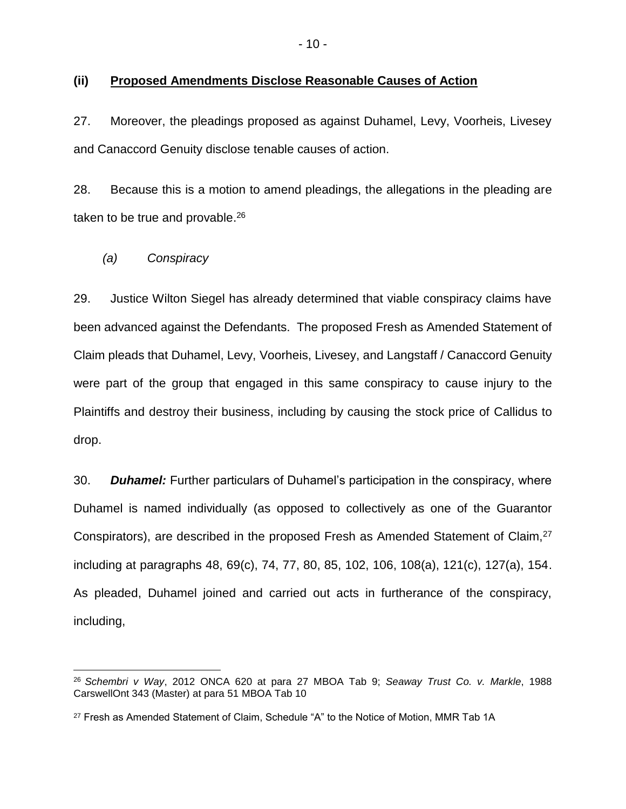#### **(ii) Proposed Amendments Disclose Reasonable Causes of Action**

27. Moreover, the pleadings proposed as against Duhamel, Levy, Voorheis, Livesey and Canaccord Genuity disclose tenable causes of action.

28. Because this is a motion to amend pleadings, the allegations in the pleading are taken to be true and provable.<sup>26</sup>

*(a) Conspiracy*

 $\overline{a}$ 

29. Justice Wilton Siegel has already determined that viable conspiracy claims have been advanced against the Defendants. The proposed Fresh as Amended Statement of Claim pleads that Duhamel, Levy, Voorheis, Livesey, and Langstaff / Canaccord Genuity were part of the group that engaged in this same conspiracy to cause injury to the Plaintiffs and destroy their business, including by causing the stock price of Callidus to drop.

30. *Duhamel:* Further particulars of Duhamel's participation in the conspiracy, where Duhamel is named individually (as opposed to collectively as one of the Guarantor Conspirators), are described in the proposed Fresh as Amended Statement of Claim,<sup>27</sup> including at paragraphs 48, 69(c), 74, 77, 80, 85, 102, 106, 108(a), 121(c), 127(a), 154. As pleaded, Duhamel joined and carried out acts in furtherance of the conspiracy, including,

<sup>26</sup> *Schembri v Way*, 2012 ONCA 620 at para 27 MBOA Tab 9; *Seaway Trust Co. v. Markle*, 1988 CarswellOnt 343 (Master) at para 51 MBOA Tab 10

<sup>&</sup>lt;sup>27</sup> Fresh as Amended Statement of Claim, Schedule "A" to the Notice of Motion, MMR Tab 1A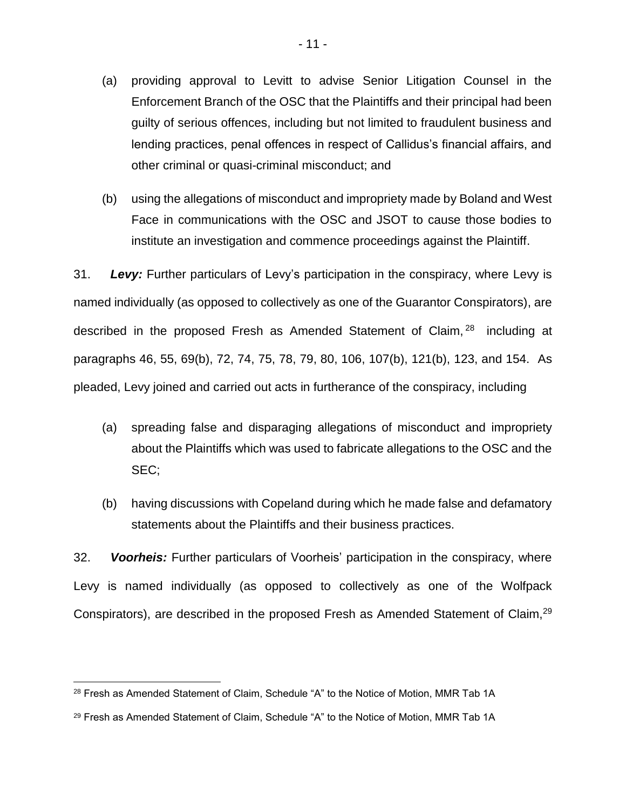- (a) providing approval to Levitt to advise Senior Litigation Counsel in the Enforcement Branch of the OSC that the Plaintiffs and their principal had been guilty of serious offences, including but not limited to fraudulent business and lending practices, penal offences in respect of Callidus's financial affairs, and other criminal or quasi-criminal misconduct; and
- (b) using the allegations of misconduct and impropriety made by Boland and West Face in communications with the OSC and JSOT to cause those bodies to institute an investigation and commence proceedings against the Plaintiff.

31. *Levy:* Further particulars of Levy's participation in the conspiracy, where Levy is named individually (as opposed to collectively as one of the Guarantor Conspirators), are described in the proposed Fresh as Amended Statement of Claim, <sup>28</sup> including at paragraphs 46, 55, 69(b), 72, 74, 75, 78, 79, 80, 106, 107(b), 121(b), 123, and 154. As pleaded, Levy joined and carried out acts in furtherance of the conspiracy, including

- (a) spreading false and disparaging allegations of misconduct and impropriety about the Plaintiffs which was used to fabricate allegations to the OSC and the SEC;
- (b) having discussions with Copeland during which he made false and defamatory statements about the Plaintiffs and their business practices.

32. *Voorheis:* Further particulars of Voorheis' participation in the conspiracy, where Levy is named individually (as opposed to collectively as one of the Wolfpack Conspirators), are described in the proposed Fresh as Amended Statement of Claim,<sup>29</sup>

<sup>&</sup>lt;sup>28</sup> Fresh as Amended Statement of Claim, Schedule "A" to the Notice of Motion, MMR Tab 1A

<sup>&</sup>lt;sup>29</sup> Fresh as Amended Statement of Claim, Schedule "A" to the Notice of Motion, MMR Tab 1A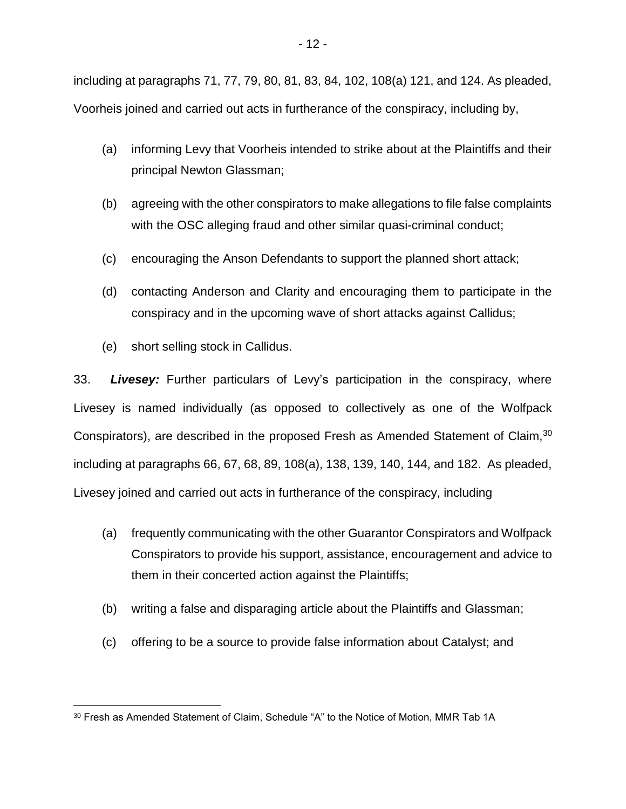including at paragraphs 71, 77, 79, 80, 81, 83, 84, 102, 108(a) 121, and 124. As pleaded, Voorheis joined and carried out acts in furtherance of the conspiracy, including by,

- (a) informing Levy that Voorheis intended to strike about at the Plaintiffs and their principal Newton Glassman;
- (b) agreeing with the other conspirators to make allegations to file false complaints with the OSC alleging fraud and other similar quasi-criminal conduct;
- (c) encouraging the Anson Defendants to support the planned short attack;
- (d) contacting Anderson and Clarity and encouraging them to participate in the conspiracy and in the upcoming wave of short attacks against Callidus;
- (e) short selling stock in Callidus.

33. *Livesey:* Further particulars of Levy's participation in the conspiracy, where Livesey is named individually (as opposed to collectively as one of the Wolfpack Conspirators), are described in the proposed Fresh as Amended Statement of Claim,<sup>30</sup> including at paragraphs 66, 67, 68, 89, 108(a), 138, 139, 140, 144, and 182. As pleaded, Livesey joined and carried out acts in furtherance of the conspiracy, including

- (a) frequently communicating with the other Guarantor Conspirators and Wolfpack Conspirators to provide his support, assistance, encouragement and advice to them in their concerted action against the Plaintiffs;
- (b) writing a false and disparaging article about the Plaintiffs and Glassman;
- (c) offering to be a source to provide false information about Catalyst; and

 $\overline{a}$ <sup>30</sup> Fresh as Amended Statement of Claim, Schedule "A" to the Notice of Motion, MMR Tab 1A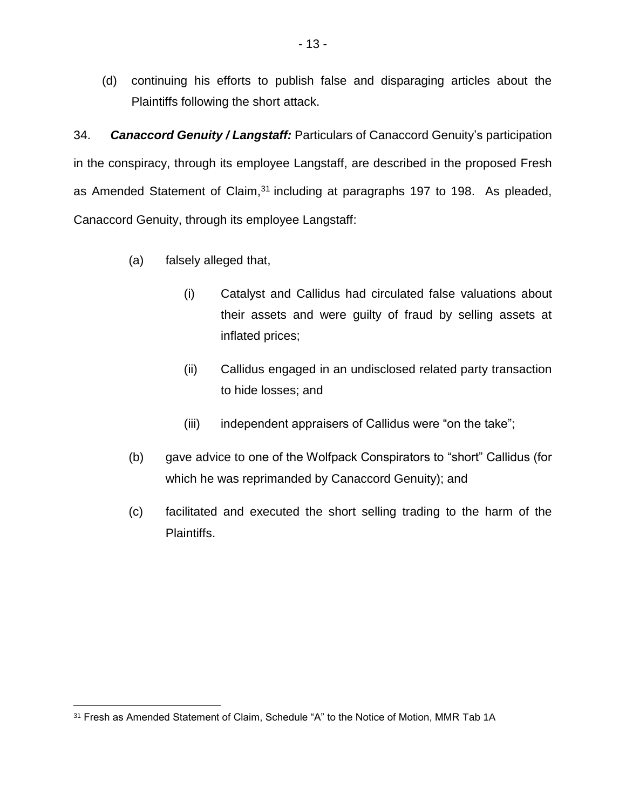(d) continuing his efforts to publish false and disparaging articles about the Plaintiffs following the short attack.

34. *Canaccord Genuity / Langstaff:* Particulars of Canaccord Genuity's participation in the conspiracy, through its employee Langstaff, are described in the proposed Fresh as Amended Statement of Claim,<sup>31</sup> including at paragraphs 197 to 198. As pleaded, Canaccord Genuity, through its employee Langstaff:

- (a) falsely alleged that,
	- (i) Catalyst and Callidus had circulated false valuations about their assets and were guilty of fraud by selling assets at inflated prices;
	- (ii) Callidus engaged in an undisclosed related party transaction to hide losses; and
	- (iii) independent appraisers of Callidus were "on the take";
- (b) gave advice to one of the Wolfpack Conspirators to "short" Callidus (for which he was reprimanded by Canaccord Genuity); and
- (c) facilitated and executed the short selling trading to the harm of the Plaintiffs.

<sup>&</sup>lt;sup>31</sup> Fresh as Amended Statement of Claim, Schedule "A" to the Notice of Motion, MMR Tab 1A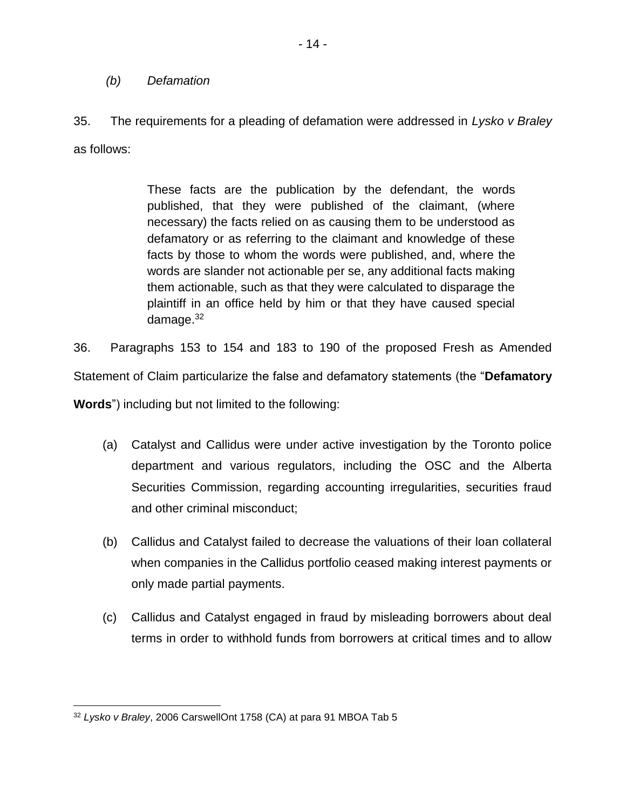#### *(b) Defamation*

35. The requirements for a pleading of defamation were addressed in *Lysko v Braley* as follows:

> These facts are the publication by the defendant, the words published, that they were published of the claimant, (where necessary) the facts relied on as causing them to be understood as defamatory or as referring to the claimant and knowledge of these facts by those to whom the words were published, and, where the words are slander not actionable per se, any additional facts making them actionable, such as that they were calculated to disparage the plaintiff in an office held by him or that they have caused special damage.<sup>32</sup>

36. Paragraphs 153 to 154 and 183 to 190 of the proposed Fresh as Amended Statement of Claim particularize the false and defamatory statements (the "**Defamatory Words**") including but not limited to the following:

- (a) Catalyst and Callidus were under active investigation by the Toronto police department and various regulators, including the OSC and the Alberta Securities Commission, regarding accounting irregularities, securities fraud and other criminal misconduct;
- (b) Callidus and Catalyst failed to decrease the valuations of their loan collateral when companies in the Callidus portfolio ceased making interest payments or only made partial payments.
- (c) Callidus and Catalyst engaged in fraud by misleading borrowers about deal terms in order to withhold funds from borrowers at critical times and to allow

<sup>32</sup> *Lysko v Braley*, 2006 CarswellOnt 1758 (CA) at para 91 MBOA Tab 5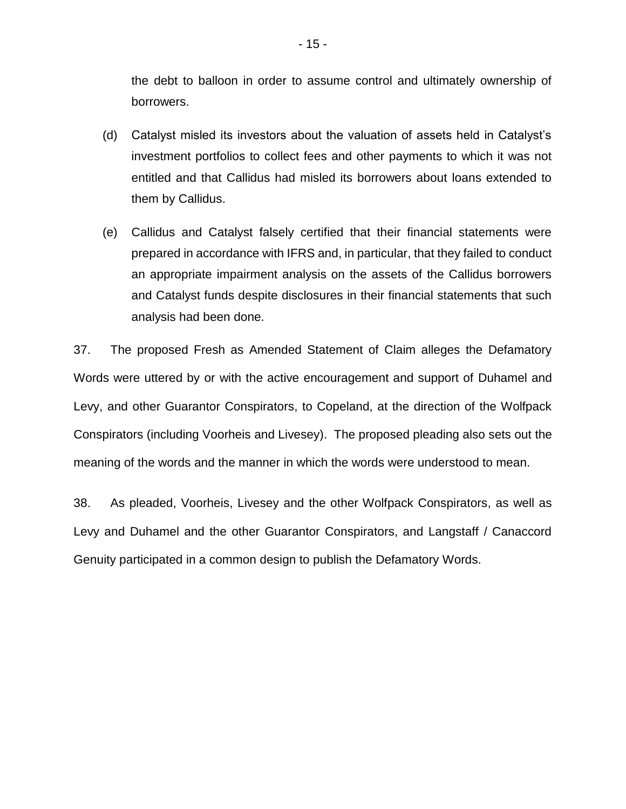the debt to balloon in order to assume control and ultimately ownership of borrowers.

- (d) Catalyst misled its investors about the valuation of assets held in Catalyst's investment portfolios to collect fees and other payments to which it was not entitled and that Callidus had misled its borrowers about loans extended to them by Callidus.
- (e) Callidus and Catalyst falsely certified that their financial statements were prepared in accordance with IFRS and, in particular, that they failed to conduct an appropriate impairment analysis on the assets of the Callidus borrowers and Catalyst funds despite disclosures in their financial statements that such analysis had been done.

37. The proposed Fresh as Amended Statement of Claim alleges the Defamatory Words were uttered by or with the active encouragement and support of Duhamel and Levy, and other Guarantor Conspirators, to Copeland, at the direction of the Wolfpack Conspirators (including Voorheis and Livesey). The proposed pleading also sets out the meaning of the words and the manner in which the words were understood to mean.

38. As pleaded, Voorheis, Livesey and the other Wolfpack Conspirators, as well as Levy and Duhamel and the other Guarantor Conspirators, and Langstaff / Canaccord Genuity participated in a common design to publish the Defamatory Words.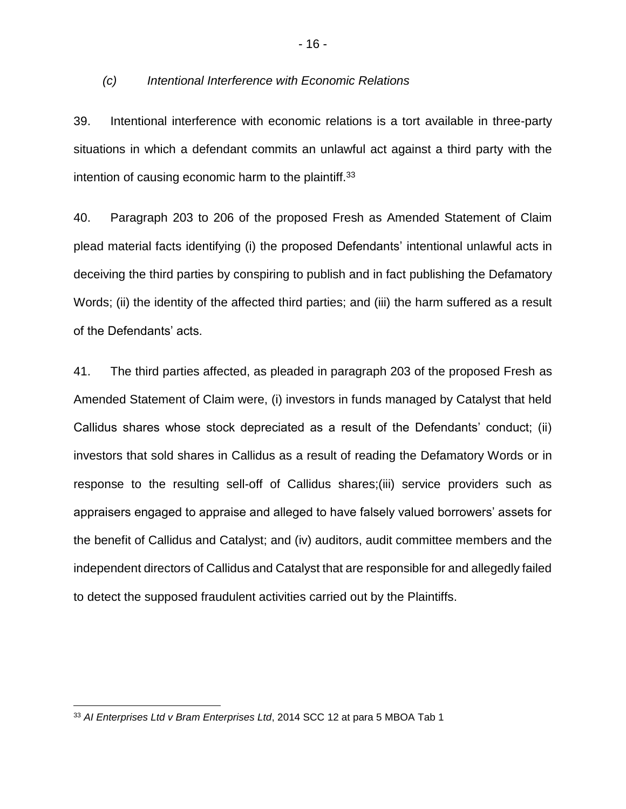#### *(c) Intentional Interference with Economic Relations*

39. Intentional interference with economic relations is a tort available in three-party situations in which a defendant commits an unlawful act against a third party with the intention of causing economic harm to the plaintiff.<sup>33</sup>

40. Paragraph 203 to 206 of the proposed Fresh as Amended Statement of Claim plead material facts identifying (i) the proposed Defendants' intentional unlawful acts in deceiving the third parties by conspiring to publish and in fact publishing the Defamatory Words; (ii) the identity of the affected third parties; and (iii) the harm suffered as a result of the Defendants' acts.

41. The third parties affected, as pleaded in paragraph 203 of the proposed Fresh as Amended Statement of Claim were, (i) investors in funds managed by Catalyst that held Callidus shares whose stock depreciated as a result of the Defendants' conduct; (ii) investors that sold shares in Callidus as a result of reading the Defamatory Words or in response to the resulting sell-off of Callidus shares;(iii) service providers such as appraisers engaged to appraise and alleged to have falsely valued borrowers' assets for the benefit of Callidus and Catalyst; and (iv) auditors, audit committee members and the independent directors of Callidus and Catalyst that are responsible for and allegedly failed to detect the supposed fraudulent activities carried out by the Plaintiffs.

<sup>33</sup> *AI Enterprises Ltd v Bram Enterprises Ltd*, 2014 SCC 12 at para 5 MBOA Tab 1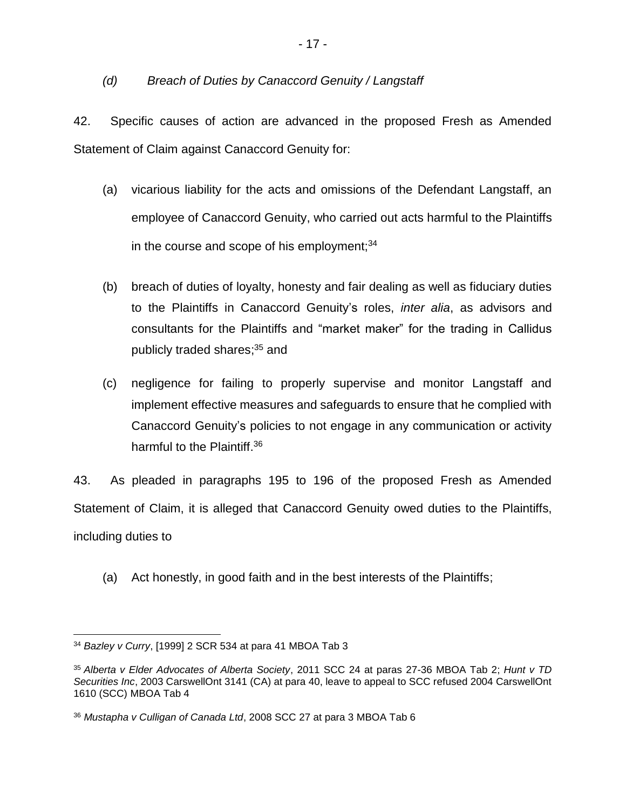### *(d) Breach of Duties by Canaccord Genuity / Langstaff*

42. Specific causes of action are advanced in the proposed Fresh as Amended Statement of Claim against Canaccord Genuity for:

- (a) vicarious liability for the acts and omissions of the Defendant Langstaff, an employee of Canaccord Genuity, who carried out acts harmful to the Plaintiffs in the course and scope of his employment; $34$
- (b) breach of duties of loyalty, honesty and fair dealing as well as fiduciary duties to the Plaintiffs in Canaccord Genuity's roles, *inter alia*, as advisors and consultants for the Plaintiffs and "market maker" for the trading in Callidus publicly traded shares; <sup>35</sup> and
- (c) negligence for failing to properly supervise and monitor Langstaff and implement effective measures and safeguards to ensure that he complied with Canaccord Genuity's policies to not engage in any communication or activity harmful to the Plaintiff.<sup>36</sup>

43. As pleaded in paragraphs 195 to 196 of the proposed Fresh as Amended Statement of Claim, it is alleged that Canaccord Genuity owed duties to the Plaintiffs, including duties to

(a) Act honestly, in good faith and in the best interests of the Plaintiffs;

 $\overline{a}$ <sup>34</sup> *Bazley v Curry*, [1999] 2 SCR 534 at para 41 MBOA Tab 3

<sup>35</sup> *Alberta v Elder Advocates of Alberta Society*, 2011 SCC 24 at paras 27-36 MBOA Tab 2; *Hunt v TD Securities Inc*, 2003 CarswellOnt 3141 (CA) at para 40, leave to appeal to SCC refused 2004 CarswellOnt 1610 (SCC) MBOA Tab 4

<sup>36</sup> *Mustapha v Culligan of Canada Ltd*, 2008 SCC 27 at para 3 MBOA Tab 6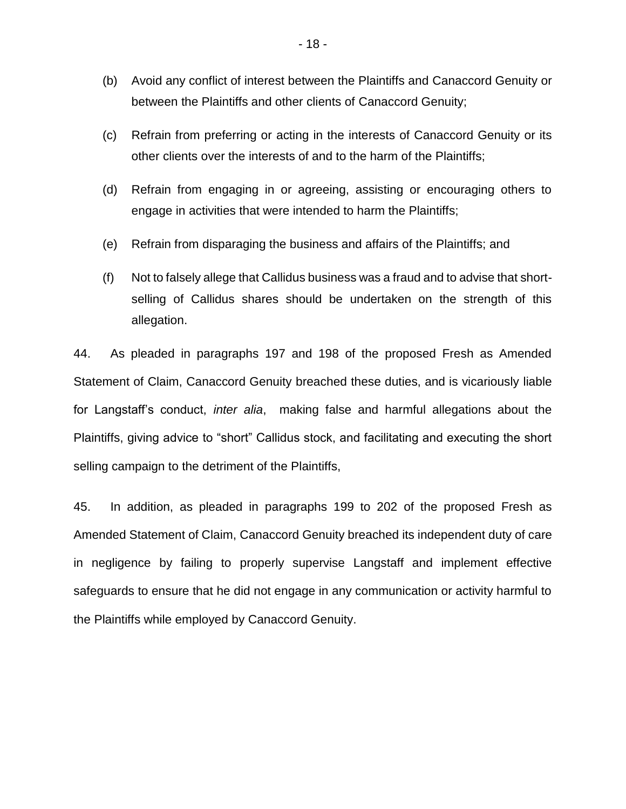- (b) Avoid any conflict of interest between the Plaintiffs and Canaccord Genuity or between the Plaintiffs and other clients of Canaccord Genuity;
- (c) Refrain from preferring or acting in the interests of Canaccord Genuity or its other clients over the interests of and to the harm of the Plaintiffs;
- (d) Refrain from engaging in or agreeing, assisting or encouraging others to engage in activities that were intended to harm the Plaintiffs;
- (e) Refrain from disparaging the business and affairs of the Plaintiffs; and
- (f) Not to falsely allege that Callidus business was a fraud and to advise that shortselling of Callidus shares should be undertaken on the strength of this allegation.

44. As pleaded in paragraphs 197 and 198 of the proposed Fresh as Amended Statement of Claim, Canaccord Genuity breached these duties, and is vicariously liable for Langstaff's conduct, *inter alia*, making false and harmful allegations about the Plaintiffs, giving advice to "short" Callidus stock, and facilitating and executing the short selling campaign to the detriment of the Plaintiffs,

45. In addition, as pleaded in paragraphs 199 to 202 of the proposed Fresh as Amended Statement of Claim, Canaccord Genuity breached its independent duty of care in negligence by failing to properly supervise Langstaff and implement effective safeguards to ensure that he did not engage in any communication or activity harmful to the Plaintiffs while employed by Canaccord Genuity.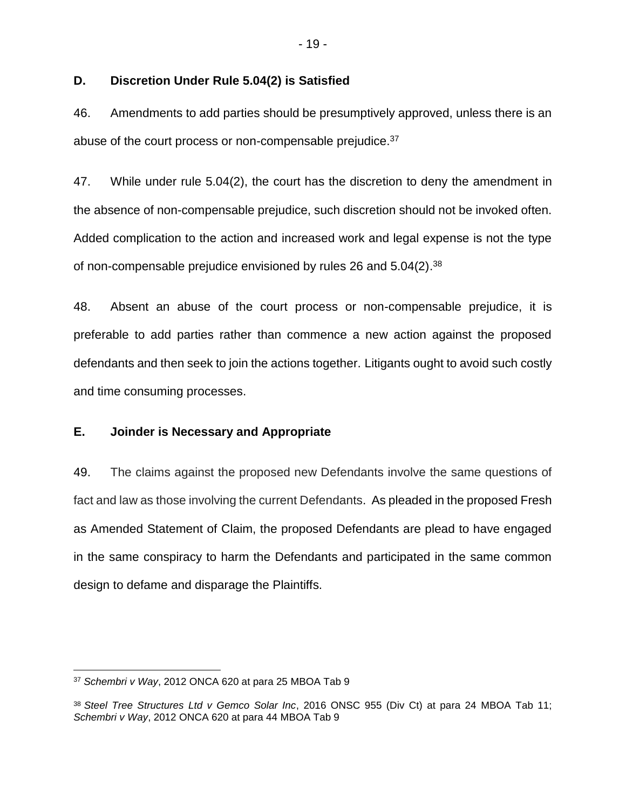#### **D. Discretion Under Rule 5.04(2) is Satisfied**

46. Amendments to add parties should be presumptively approved, unless there is an abuse of the court process or non-compensable prejudice.<sup>37</sup>

47. While under rule 5.04(2), the court has the discretion to deny the amendment in the absence of non-compensable prejudice, such discretion should not be invoked often. Added complication to the action and increased work and legal expense is not the type of non-compensable prejudice envisioned by rules 26 and  $5.04(2).^{38}$ 

48. Absent an abuse of the court process or non-compensable prejudice, it is preferable to add parties rather than commence a new action against the proposed defendants and then seek to join the actions together. Litigants ought to avoid such costly and time consuming processes.

#### **E. Joinder is Necessary and Appropriate**

49. The claims against the proposed new Defendants involve the same questions of fact and law as those involving the current Defendants. As pleaded in the proposed Fresh as Amended Statement of Claim, the proposed Defendants are plead to have engaged in the same conspiracy to harm the Defendants and participated in the same common design to defame and disparage the Plaintiffs.

 $\overline{a}$ <sup>37</sup> *Schembri v Way*, 2012 ONCA 620 at para 25 MBOA Tab 9

<sup>38</sup> *Steel Tree Structures Ltd v Gemco Solar Inc*, 2016 ONSC 955 (Div Ct) at para 24 MBOA Tab 11; *Schembri v Way*, 2012 ONCA 620 at para 44 MBOA Tab 9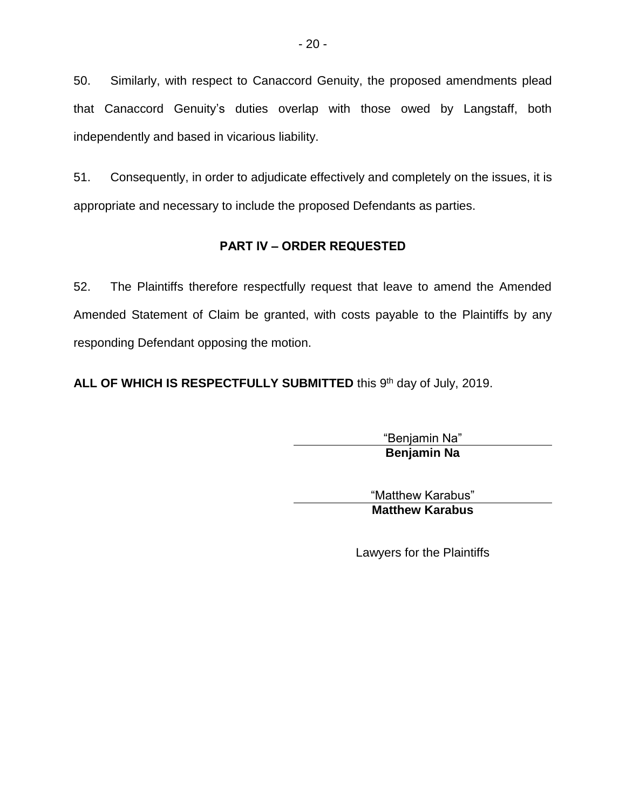50. Similarly, with respect to Canaccord Genuity, the proposed amendments plead that Canaccord Genuity's duties overlap with those owed by Langstaff, both independently and based in vicarious liability.

51. Consequently, in order to adjudicate effectively and completely on the issues, it is appropriate and necessary to include the proposed Defendants as parties.

# **PART IV – ORDER REQUESTED**

52. The Plaintiffs therefore respectfully request that leave to amend the Amended Amended Statement of Claim be granted, with costs payable to the Plaintiffs by any responding Defendant opposing the motion.

ALL OF WHICH IS RESPECTFULLY SUBMITTED this 9<sup>th</sup> day of July, 2019.

"Benjamin Na" **Benjamin Na**

"Matthew Karabus" **Matthew Karabus**

Lawyers for the Plaintiffs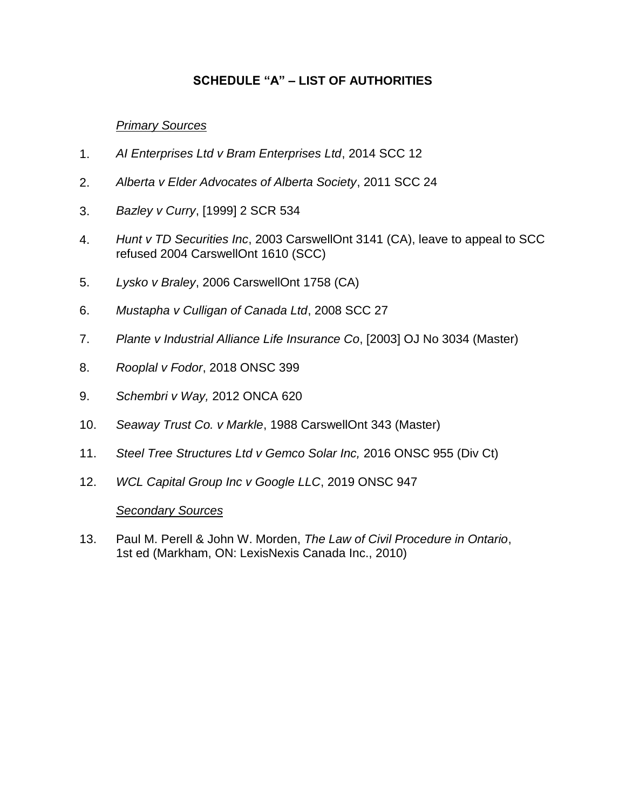# **SCHEDULE "A" – LIST OF AUTHORITIES**

## *Primary Sources*

- 1. *AI Enterprises Ltd v Bram Enterprises Ltd*, 2014 SCC 12
- 2. *Alberta v Elder Advocates of Alberta Society*, 2011 SCC 24
- 3. *Bazley v Curry*, [1999] 2 SCR 534
- 4. *Hunt v TD Securities Inc*, 2003 CarswellOnt 3141 (CA), leave to appeal to SCC refused 2004 CarswellOnt 1610 (SCC)
- 5. *Lysko v Braley*, 2006 CarswellOnt 1758 (CA)
- 6. *Mustapha v Culligan of Canada Ltd*, 2008 SCC 27
- 7. *Plante v Industrial Alliance Life Insurance Co*, [2003] OJ No 3034 (Master)
- 8. *Rooplal v Fodor*, 2018 ONSC 399
- 9. *Schembri v Way,* 2012 ONCA 620
- 10. *Seaway Trust Co. v Markle*, 1988 CarswellOnt 343 (Master)
- 11. *Steel Tree Structures Ltd v Gemco Solar Inc,* 2016 ONSC 955 (Div Ct)
- 12. *WCL Capital Group Inc v Google LLC*, 2019 ONSC 947

#### *Secondary Sources*

13. Paul M. Perell & John W. Morden, *The Law of Civil Procedure in Ontario*, 1st ed (Markham, ON: LexisNexis Canada Inc., 2010)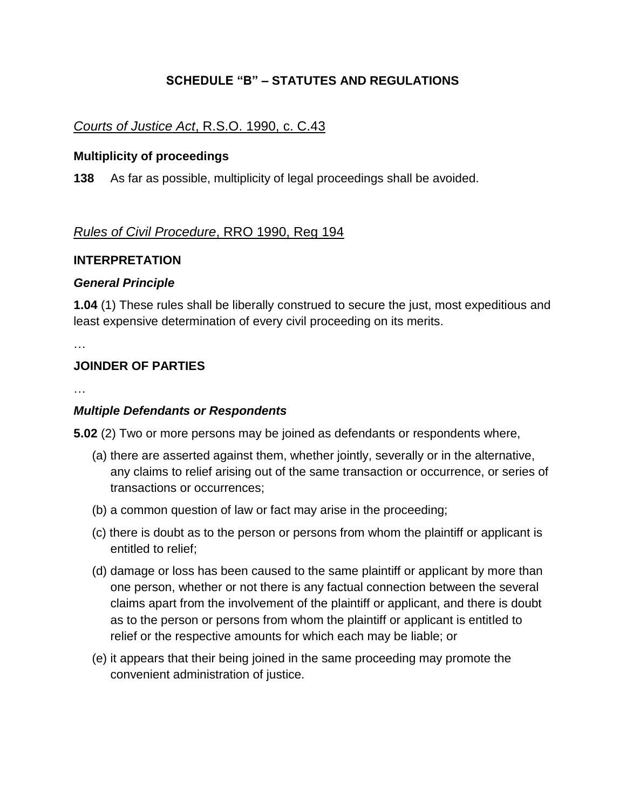# **SCHEDULE "B" – STATUTES AND REGULATIONS**

# *Courts of Justice Act*, R.S.O. 1990, c. C.43

#### **Multiplicity of proceedings**

**138** As far as possible, multiplicity of legal proceedings shall be avoided.

# *Rules of Civil Procedure*, RRO 1990, Reg 194

#### **INTERPRETATION**

### *General Principle*

**1.04** (1) These rules shall be liberally construed to secure the just, most expeditious and least expensive determination of every civil proceeding on its merits.

…

# **JOINDER OF PARTIES**

…

### *Multiple Defendants or Respondents*

**5.02** (2) Two or more persons may be joined as defendants or respondents where,

- (a) there are asserted against them, whether jointly, severally or in the alternative, any claims to relief arising out of the same transaction or occurrence, or series of transactions or occurrences;
- (b) a common question of law or fact may arise in the proceeding;
- (c) there is doubt as to the person or persons from whom the plaintiff or applicant is entitled to relief;
- (d) damage or loss has been caused to the same plaintiff or applicant by more than one person, whether or not there is any factual connection between the several claims apart from the involvement of the plaintiff or applicant, and there is doubt as to the person or persons from whom the plaintiff or applicant is entitled to relief or the respective amounts for which each may be liable; or
- (e) it appears that their being joined in the same proceeding may promote the convenient administration of justice.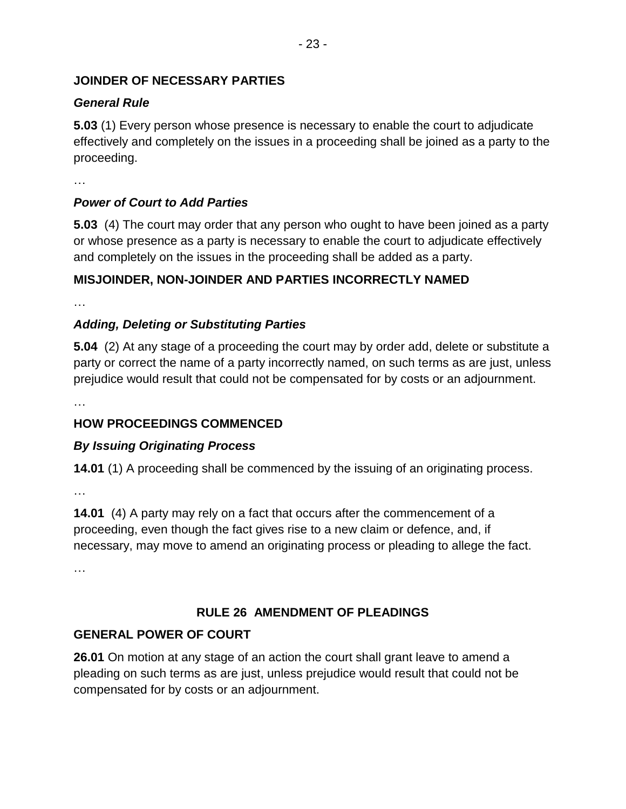# **JOINDER OF NECESSARY PARTIES**

# *General Rule*

**5.03** (1) Every person whose presence is necessary to enable the court to adjudicate effectively and completely on the issues in a proceeding shall be joined as a party to the proceeding.

…

# *Power of Court to Add Parties*

**5.03** (4) The court may order that any person who ought to have been joined as a party or whose presence as a party is necessary to enable the court to adjudicate effectively and completely on the issues in the proceeding shall be added as a party.

# **MISJOINDER, NON-JOINDER AND PARTIES INCORRECTLY NAMED**

…

# *Adding, Deleting or Substituting Parties*

**5.04** (2) At any stage of a proceeding the court may by order add, delete or substitute a party or correct the name of a party incorrectly named, on such terms as are just, unless prejudice would result that could not be compensated for by costs or an adjournment.

…

# **HOW PROCEEDINGS COMMENCED**

# *By Issuing Originating Process*

**14.01** (1) A proceeding shall be commenced by the issuing of an originating process.

…

**14.01** (4) A party may rely on a fact that occurs after the commencement of a proceeding, even though the fact gives rise to a new claim or defence, and, if necessary, may move to amend an originating process or pleading to allege the fact.

…

# **RULE 26 AMENDMENT OF PLEADINGS**

# **GENERAL POWER OF COURT**

**26.01** On motion at any stage of an action the court shall grant leave to amend a pleading on such terms as are just, unless prejudice would result that could not be compensated for by costs or an adjournment.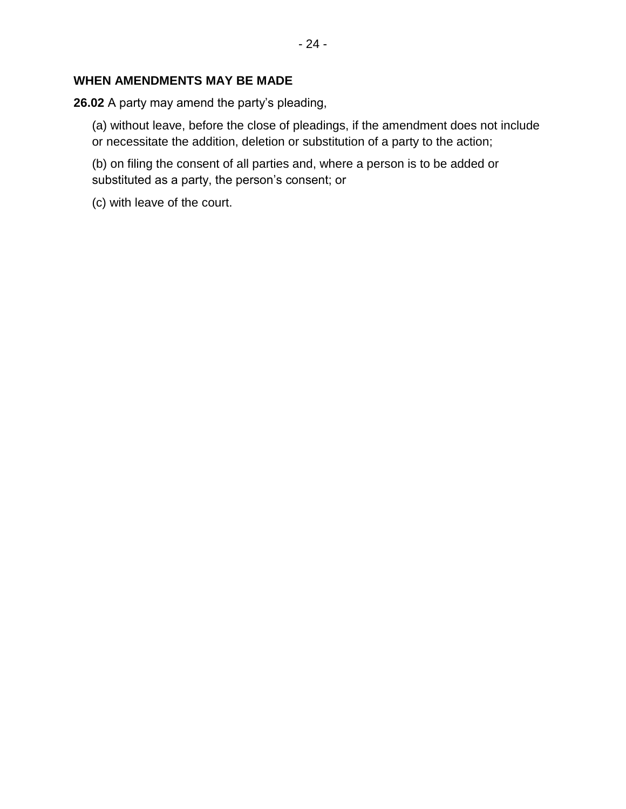## **WHEN AMENDMENTS MAY BE MADE**

**26.02** A party may amend the party's pleading,

(a) without leave, before the close of pleadings, if the amendment does not include or necessitate the addition, deletion or substitution of a party to the action;

(b) on filing the consent of all parties and, where a person is to be added or substituted as a party, the person's consent; or

(c) with leave of the court.